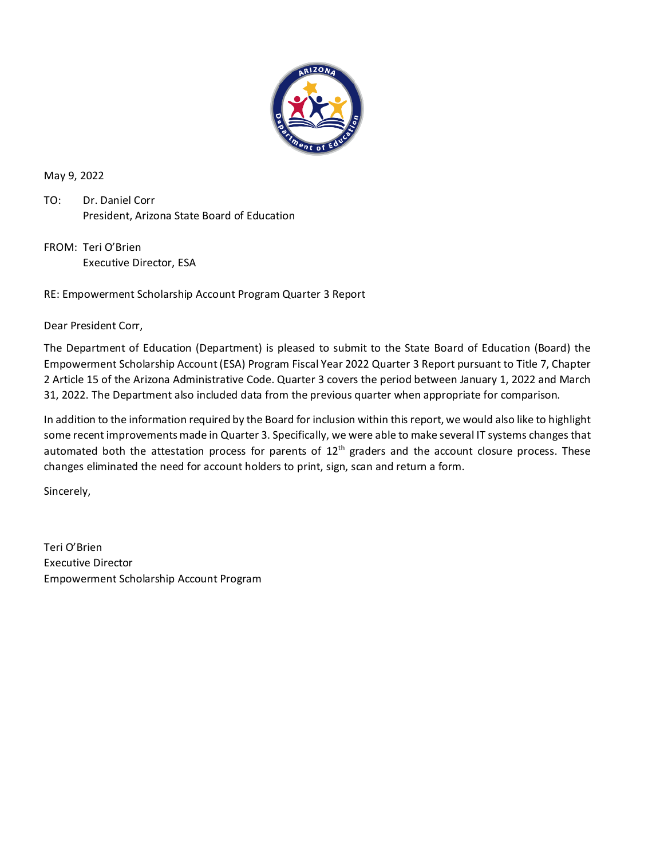

May 9, 2022

TO: Dr. Daniel Corr President, Arizona State Board of Education

FROM: Teri O'Brien Executive Director, ESA

RE: Empowerment Scholarship Account Program Quarter 3 Report

Dear President Corr,

The Department of Education (Department) is pleased to submit to the State Board of Education (Board) the Empowerment Scholarship Account (ESA) Program Fiscal Year 2022 Quarter 3 Report pursuant to Title 7, Chapter 2 Article 15 of the Arizona Administrative Code. Quarter 3 covers the period between January 1, 2022 and March 31, 2022. The Department also included data from the previous quarter when appropriate for comparison.

In addition to the information required by the Board for inclusion within this report, we would also like to highlight some recent improvements made in Quarter 3. Specifically, we were able to make several IT systems changes that automated both the attestation process for parents of  $12<sup>th</sup>$  graders and the account closure process. These changes eliminated the need for account holders to print, sign, scan and return a form.

Sincerely,

Teri O'Brien Executive Director Empowerment Scholarship Account Program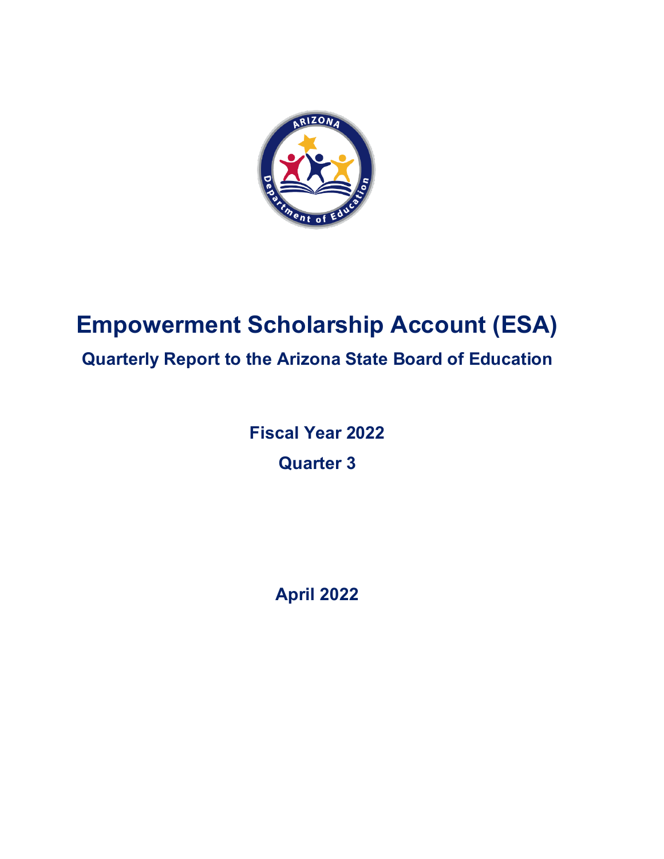

# **Empowerment Scholarship Account (ESA)**

# **Quarterly Report to the Arizona State Board of Education**

**Fiscal Year 2022 Quarter 3**

**April 2022**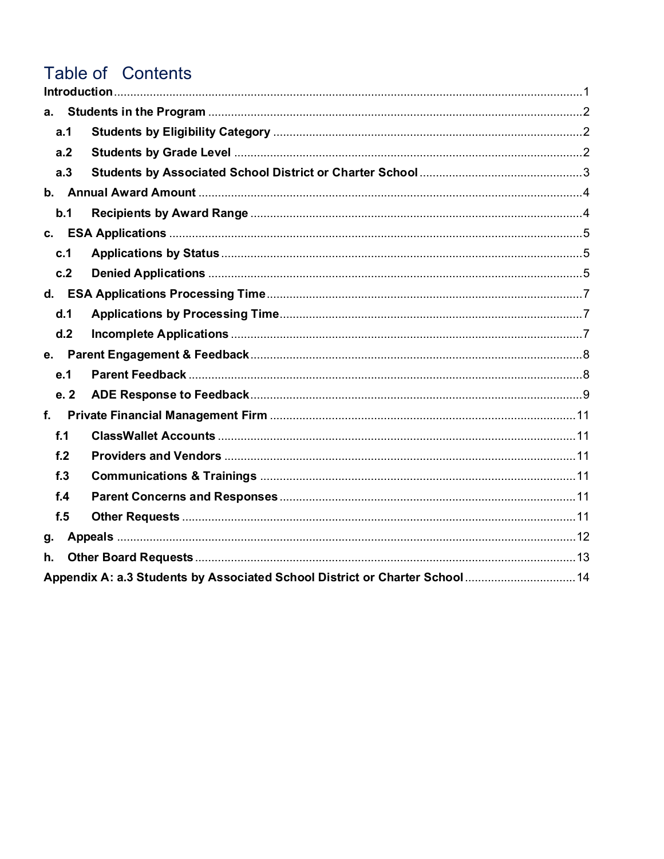# Table of Contents

| а.          |                                                                              |  |  |  |
|-------------|------------------------------------------------------------------------------|--|--|--|
|             | a.1                                                                          |  |  |  |
|             | a.2                                                                          |  |  |  |
|             | a.3                                                                          |  |  |  |
|             |                                                                              |  |  |  |
|             | b.1                                                                          |  |  |  |
|             |                                                                              |  |  |  |
|             | c.1                                                                          |  |  |  |
|             | c.2                                                                          |  |  |  |
|             |                                                                              |  |  |  |
|             | d.1                                                                          |  |  |  |
|             | d.2                                                                          |  |  |  |
|             |                                                                              |  |  |  |
|             | e.1                                                                          |  |  |  |
|             | e.2                                                                          |  |  |  |
| $f_{\cdot}$ |                                                                              |  |  |  |
|             | f.1                                                                          |  |  |  |
|             | f <sub>2</sub>                                                               |  |  |  |
|             | f.3                                                                          |  |  |  |
|             | f.4                                                                          |  |  |  |
|             | f.5                                                                          |  |  |  |
| g.          |                                                                              |  |  |  |
| h.          |                                                                              |  |  |  |
|             | Appendix A: a.3 Students by Associated School District or Charter School  14 |  |  |  |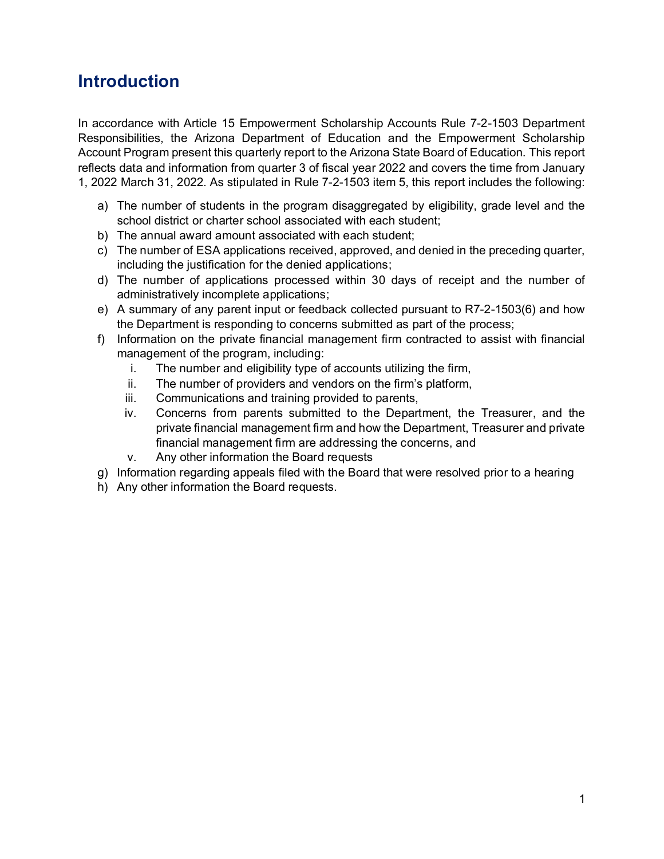# <span id="page-3-0"></span>**Introduction**

In accordance with Article 15 Empowerment Scholarship Accounts Rule 7-2-1503 Department Responsibilities, the Arizona Department of Education and the Empowerment Scholarship Account Program present this quarterly report to the Arizona State Board of Education. This report reflects data and information from quarter 3 of fiscal year 2022 and covers the time from January 1, 2022 March 31, 2022. As stipulated in Rule 7-2-1503 item 5, this report includes the following:

- a) The number of students in the program disaggregated by eligibility, grade level and the school district or charter school associated with each student;
- b) The annual award amount associated with each student;
- c) The number of ESA applications received, approved, and denied in the preceding quarter, including the justification for the denied applications;
- d) The number of applications processed within 30 days of receipt and the number of administratively incomplete applications;
- e) A summary of any parent input or feedback collected pursuant to R7-2-1503(6) and how the Department is responding to concerns submitted as part of the process;
- f) Information on the private financial management firm contracted to assist with financial management of the program, including:
	- i. The number and eligibility type of accounts utilizing the firm,
	- ii. The number of providers and vendors on the firm's platform,
	- iii. Communications and training provided to parents,
	- iv. Concerns from parents submitted to the Department, the Treasurer, and the private financial management firm and how the Department, Treasurer and private financial management firm are addressing the concerns, and
	- v. Any other information the Board requests
- g) Information regarding appeals filed with the Board that were resolved prior to a hearing
- h) Any other information the Board requests.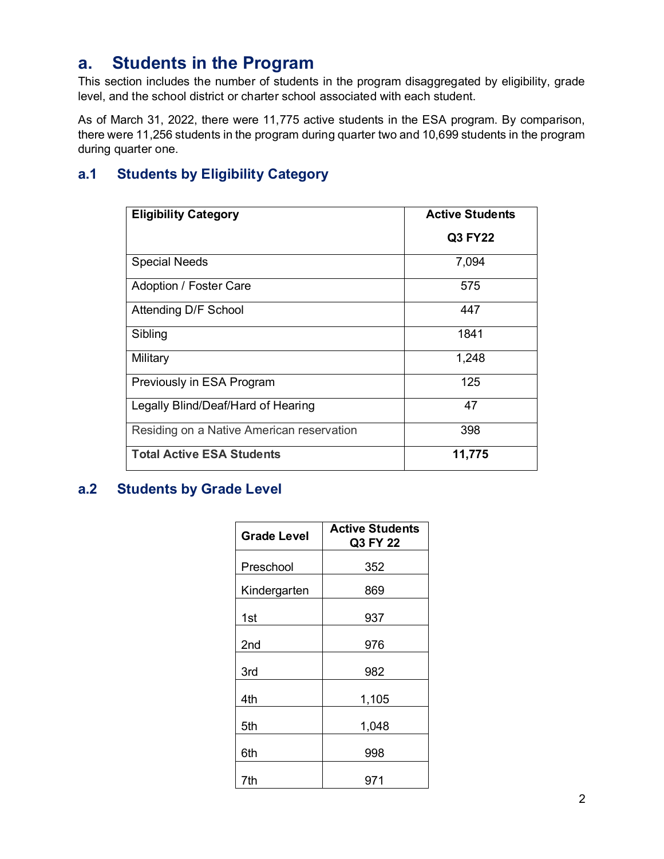## <span id="page-4-0"></span>**a. Students in the Program**

This section includes the number of students in the program disaggregated by eligibility, grade level, and the school district or charter school associated with each student.

As of March 31, 2022, there were 11,775 active students in the ESA program. By comparison, there were 11,256 students in the program during quarter two and 10,699 students in the program during quarter one.

### <span id="page-4-1"></span>**a.1 Students by Eligibility Category**

| <b>Eligibility Category</b>               | <b>Active Students</b> |
|-------------------------------------------|------------------------|
|                                           | Q3 FY22                |
| <b>Special Needs</b>                      | 7,094                  |
| Adoption / Foster Care                    | 575                    |
| Attending D/F School                      | 447                    |
| Sibling                                   | 1841                   |
| Military                                  | 1,248                  |
| Previously in ESA Program                 | 125                    |
| Legally Blind/Deaf/Hard of Hearing        | 47                     |
| Residing on a Native American reservation | 398                    |
| <b>Total Active ESA Students</b>          | 11,775                 |

### <span id="page-4-2"></span>**a.2 Students by Grade Level**

| <b>Grade Level</b> | <b>Active Students</b><br>Q3 FY 22 |
|--------------------|------------------------------------|
| Preschool          | 352                                |
| Kindergarten       | 869                                |
| 1st                | 937                                |
| 2nd                | 976                                |
| 3rd                | 982                                |
| 4th                | 1,105                              |
| 5th                | 1,048                              |
| 6th                | 998                                |
| 7th                | 971                                |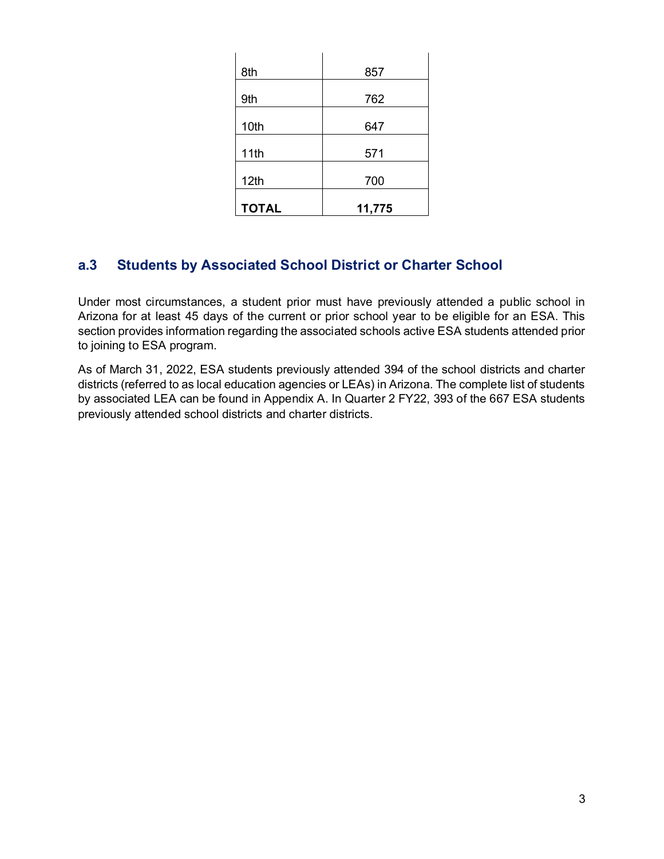| 8th          | 857    |
|--------------|--------|
| 9th          | 762    |
| 10th         | 647    |
| 11th         | 571    |
| 12th         | 700    |
| <b>TOTAL</b> | 11,775 |

### <span id="page-5-0"></span>**a.3 Students by Associated School District or Charter School**

Under most circumstances, a student prior must have previously attended a public school in Arizona for at least 45 days of the current or prior school year to be eligible for an ESA. This section provides information regarding the associated schools active ESA students attended prior to joining to ESA program.

As of March 31, 2022, ESA students previously attended 394 of the school districts and charter districts (referred to as local education agencies or LEAs) in Arizona. The complete list of students by associated LEA can be found in Appendix A. In Quarter 2 FY22, 393 of the 667 ESA students previously attended school districts and charter districts.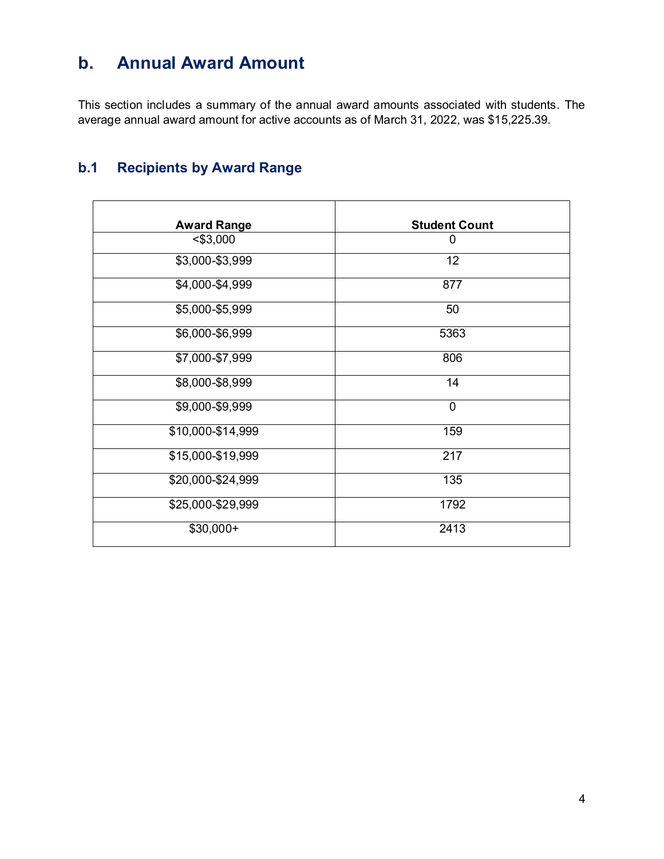# <span id="page-6-0"></span>**b. Annual Award Amount**

This section includes a summary of the annual award amounts associated with students. The average annual award amount for active accounts as of March 31, 2022, was \$15,225.39.

### <span id="page-6-1"></span>**b.1 Recipients by Award Range**

| <b>Award Range</b> | <b>Student Count</b> |
|--------------------|----------------------|
| $<$ \$3,000        | 0                    |
| \$3,000-\$3,999    | 12                   |
| \$4,000-\$4,999    | 877                  |
| \$5,000-\$5,999    | 50                   |
| \$6,000-\$6,999    | 5363                 |
| \$7,000-\$7,999    | 806                  |
| \$8,000-\$8,999    | 14                   |
| \$9,000-\$9,999    | $\mathbf 0$          |
| \$10,000-\$14,999  | 159                  |
| \$15,000-\$19,999  | 217                  |
| \$20,000-\$24,999  | 135                  |
| \$25,000-\$29,999  | 1792                 |
| $$30,000+$         | 2413                 |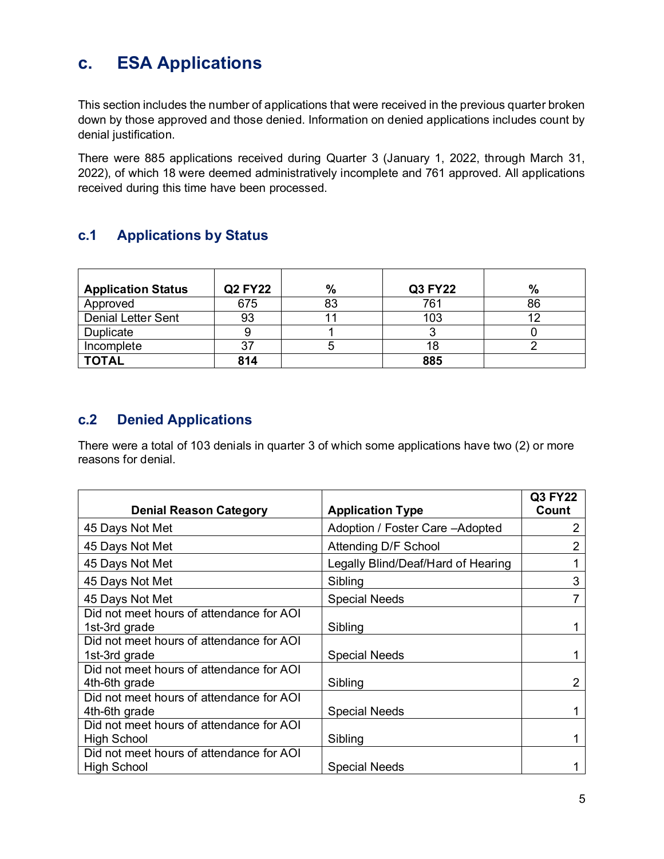# <span id="page-7-0"></span>**c. ESA Applications**

This section includes the number of applications that were received in the previous quarter broken down by those approved and those denied. Information on denied applications includes count by denial justification.

There were 885 applications received during Quarter 3 (January 1, 2022, through March 31, 2022), of which 18 were deemed administratively incomplete and 761 approved. All applications received during this time have been processed.

### <span id="page-7-1"></span>**c.1 Applications by Status**

| <b>Application Status</b> | <b>Q2 FY22</b> | $\%$     | <b>Q3 FY22</b> | $\%$ |
|---------------------------|----------------|----------|----------------|------|
| Approved                  | 675            | Ωי<br>o. | 761            | 86   |
| <b>Denial Letter Sent</b> | 93             |          | 103            |      |
| <b>Duplicate</b>          |                |          |                |      |
| Incomplete                |                |          | 18             |      |
| <b>TOTAL</b>              | 814            |          | 885            |      |

### <span id="page-7-2"></span>**c.2 Denied Applications**

There were a total of 103 denials in quarter 3 of which some applications have two (2) or more reasons for denial.

|                                                                |                                    | Q3 FY22 |
|----------------------------------------------------------------|------------------------------------|---------|
| <b>Denial Reason Category</b>                                  | <b>Application Type</b>            | Count   |
| 45 Days Not Met                                                | Adoption / Foster Care - Adopted   | 2       |
| 45 Days Not Met                                                | Attending D/F School               | 2       |
| 45 Days Not Met                                                | Legally Blind/Deaf/Hard of Hearing |         |
| 45 Days Not Met                                                | Sibling                            | 3       |
| 45 Days Not Met                                                | <b>Special Needs</b>               |         |
| Did not meet hours of attendance for AOI<br>1st-3rd grade      | Sibling                            |         |
| Did not meet hours of attendance for AOI<br>1st-3rd grade      | <b>Special Needs</b>               |         |
| Did not meet hours of attendance for AOI<br>4th-6th grade      | Sibling                            | 2       |
| Did not meet hours of attendance for AOI<br>4th-6th grade      | <b>Special Needs</b>               |         |
| Did not meet hours of attendance for AOI<br><b>High School</b> | Sibling                            |         |
| Did not meet hours of attendance for AOI<br><b>High School</b> | <b>Special Needs</b>               |         |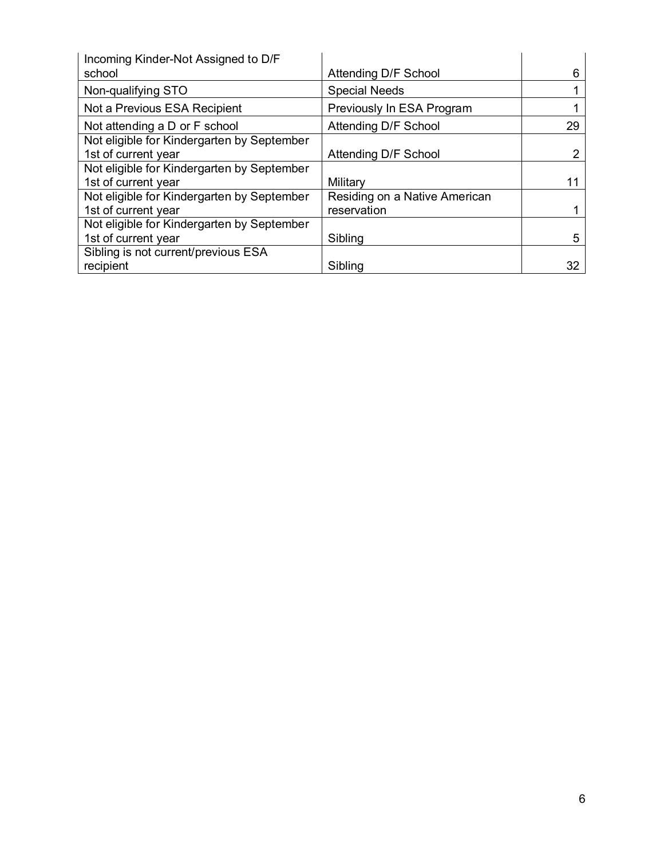| Incoming Kinder-Not Assigned to D/F        |                               |    |
|--------------------------------------------|-------------------------------|----|
| school                                     | Attending D/F School          | 6  |
| Non-qualifying STO                         | <b>Special Needs</b>          |    |
| Not a Previous ESA Recipient               | Previously In ESA Program     |    |
| Not attending a D or F school              | Attending D/F School          | 29 |
| Not eligible for Kindergarten by September |                               |    |
| 1st of current year                        | Attending D/F School          |    |
| Not eligible for Kindergarten by September |                               |    |
| 1st of current year                        | Military                      |    |
| Not eligible for Kindergarten by September | Residing on a Native American |    |
| 1st of current year                        | reservation                   |    |
| Not eligible for Kindergarten by September |                               |    |
| 1st of current year                        | Sibling                       | 5  |
| Sibling is not current/previous ESA        |                               |    |
| recipient                                  | Sibling                       | 32 |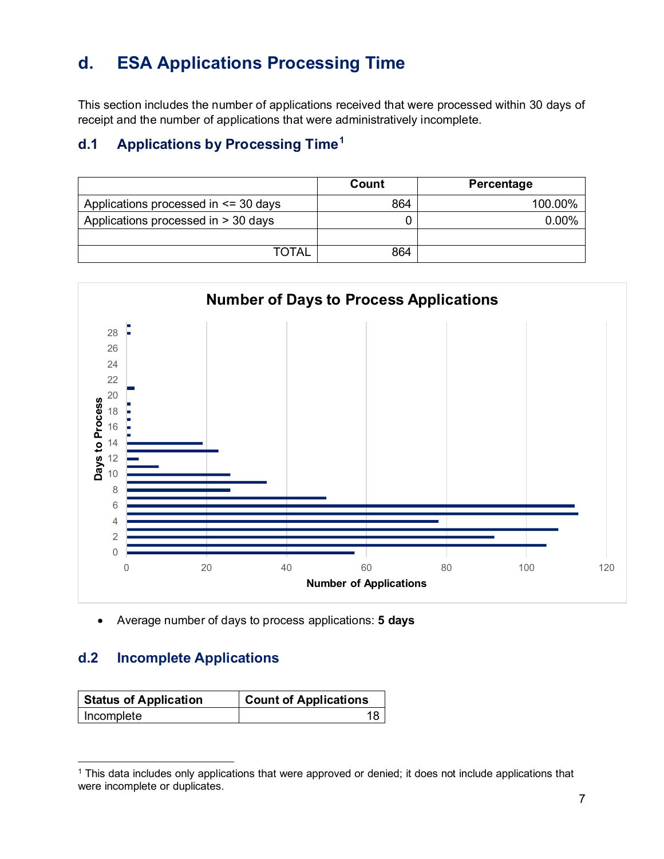# <span id="page-9-0"></span>**d. ESA Applications Processing Time**

This section includes the number of applications received that were processed within 30 days of receipt and the number of applications that were administratively incomplete.

### <span id="page-9-1"></span>**d.1 Applications by Processing Time[1](#page-9-3)**

|                                          | Count | Percentage |
|------------------------------------------|-------|------------|
| Applications processed in $\leq$ 30 days | 864   | 100.00%    |
| Applications processed in > 30 days      |       | $0.00\%$   |
|                                          |       |            |
| <b>TOTAL</b>                             | 864   |            |



• Average number of days to process applications: **5 days**

### <span id="page-9-2"></span>**d.2 Incomplete Applications**

| <b>Status of Application</b> | <b>Count of Applications</b> |
|------------------------------|------------------------------|
| Incomplete                   |                              |

<span id="page-9-3"></span><sup>1</sup> This data includes only applications that were approved or denied; it does not include applications that were incomplete or duplicates.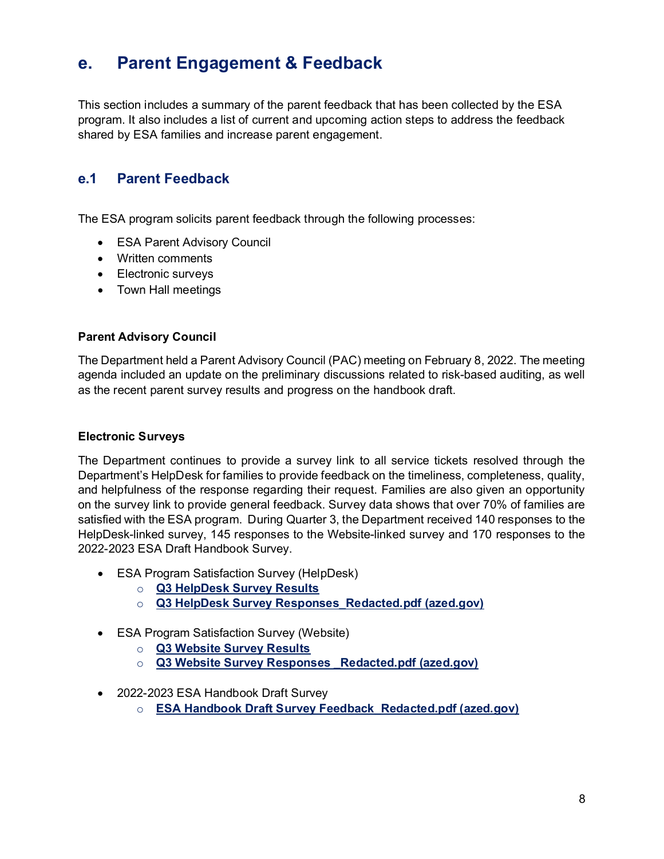## <span id="page-10-0"></span>**e. Parent Engagement & Feedback**

This section includes a summary of the parent feedback that has been collected by the ESA program. It also includes a list of current and upcoming action steps to address the feedback shared by ESA families and increase parent engagement.

### <span id="page-10-1"></span>**e.1 Parent Feedback**

The ESA program solicits parent feedback through the following processes:

- ESA Parent Advisory Council
- Written comments
- Electronic surveys
- Town Hall meetings

#### **Parent Advisory Council**

The Department held a Parent Advisory Council (PAC) meeting on February 8, 2022. The meeting agenda included an update on the preliminary discussions related to risk-based auditing, as well as the recent parent survey results and progress on the handbook draft.

#### **Electronic Surveys**

The Department continues to provide a survey link to all service tickets resolved through the Department's HelpDesk for families to provide feedback on the timeliness, completeness, quality, and helpfulness of the response regarding their request. Families are also given an opportunity on the survey link to provide general feedback. Survey data shows that over 70% of families are satisfied with the ESA program. During Quarter 3, the Department received 140 responses to the HelpDesk-linked survey, 145 responses to the Website-linked survey and 170 responses to the 2022-2023 ESA Draft Handbook Survey.

- ESA Program Satisfaction Survey (HelpDesk)
	- o **[Q3 HelpDesk Survey Results](https://www.surveymonkey.com/stories/SM-_2Bak_2BLgsj6eVPOQ69oLmaNg_3D_3D/)**
	- o **[Q3 HelpDesk Survey Responses\\_Redacted.pdf \(azed.gov\)](https://www.azed.gov/sites/default/files/2022/05/Q3%20HelpDesk%20Survey%20Responses_Redacted_1.pdf)**
- ESA Program Satisfaction Survey (Website)
	- o **[Q3 Website Survey Results](https://www.surveymonkey.com/stories/SM-BN5OsaO92kQ3Jtgq1a4ihA_3D_3D/)**
	- o **[Q3 Website Survey Responses \\_Redacted.pdf \(azed.gov\)](https://www.azed.gov/sites/default/files/2022/05/Q3%20Website%20Survey%20Responses%20_Redacted_0.pdf)**
- 2022-2023 ESA Handbook Draft Survey
	- o **[ESA Handbook Draft Survey Feedback\\_Redacted.pdf \(azed.gov\)](https://www.azed.gov/sites/default/files/2022/05/ESA%20Handbook%20Draft%20Survey%20Feedback_Redacted_0.pdf)**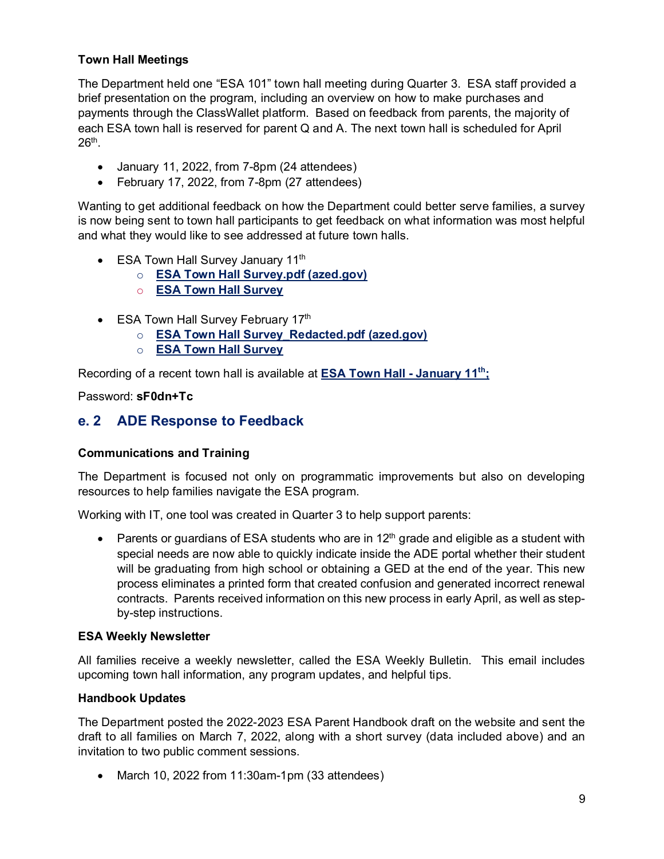#### **Town Hall Meetings**

The Department held one "ESA 101" town hall meeting during Quarter 3. ESA staff provided a brief presentation on the program, including an overview on how to make purchases and payments through the ClassWallet platform. Based on feedback from parents, the majority of each ESA town hall is reserved for parent Q and A. The next town hall is scheduled for April 26th.

- January 11, 2022, from 7-8pm (24 attendees)
- February 17, 2022, from 7-8pm (27 attendees)

Wanting to get additional feedback on how the Department could better serve families, a survey is now being sent to town hall participants to get feedback on what information was most helpful and what they would like to see addressed at future town halls.

- ESA Town Hall Survey January 11<sup>th</sup>
	- o **[ESA Town Hall Survey.pdf \(azed.gov\)](https://www.azed.gov/sites/default/files/2022/05/ESA%20Town%20Hall%20Survey.pdf)**
	- o **[ESA Town Hall Survey](https://www.surveymonkey.com/stories/SM-74vlzDRBCvcJtYwR4E0ZZw_3D_3D/)**
- ESA Town Hall Survey February 17<sup>th</sup>
	- o **[ESA Town Hall Survey\\_Redacted.pdf \(azed.gov\)](https://www.azed.gov/sites/default/files/2022/05/ESA%20Town%20Hall%20Survey_Redacted.pdf)**
	- o **[ESA Town Hall Survey](https://www.surveymonkey.com/stories/SM-HB9S6BYW/)**

Recording of a recent town hall is available at **[ESA Town Hall -](https://azed-gov.zoom.us/rec/share/U_PYto99DvYygbEmI8qjhcU18MqjU4dU4ICYajlZnFhtp_mKyCfgAYeBWNaac9ac.VIHxBYRBppSOL_Ea?startTime=1641952502000) January 11th;** 

Password: **sF0dn+Tc**

### <span id="page-11-0"></span>**e. 2 ADE Response to Feedback**

#### **Communications and Training**

The Department is focused not only on programmatic improvements but also on developing resources to help families navigate the ESA program.

Working with IT, one tool was created in Quarter 3 to help support parents:

• Parents or guardians of ESA students who are in  $12<sup>th</sup>$  grade and eligible as a student with special needs are now able to quickly indicate inside the ADE portal whether their student will be graduating from high school or obtaining a GED at the end of the year. This new process eliminates a printed form that created confusion and generated incorrect renewal contracts. Parents received information on this new process in early April, as well as stepby-step instructions.

#### **ESA Weekly Newsletter**

All families receive a weekly newsletter, called the ESA Weekly Bulletin. This email includes upcoming town hall information, any program updates, and helpful tips.

#### **Handbook Updates**

The Department posted the 2022-2023 ESA Parent Handbook draft on the website and sent the draft to all families on March 7, 2022, along with a short survey (data included above) and an invitation to two public comment sessions.

• March 10, 2022 from 11:30am-1pm (33 attendees)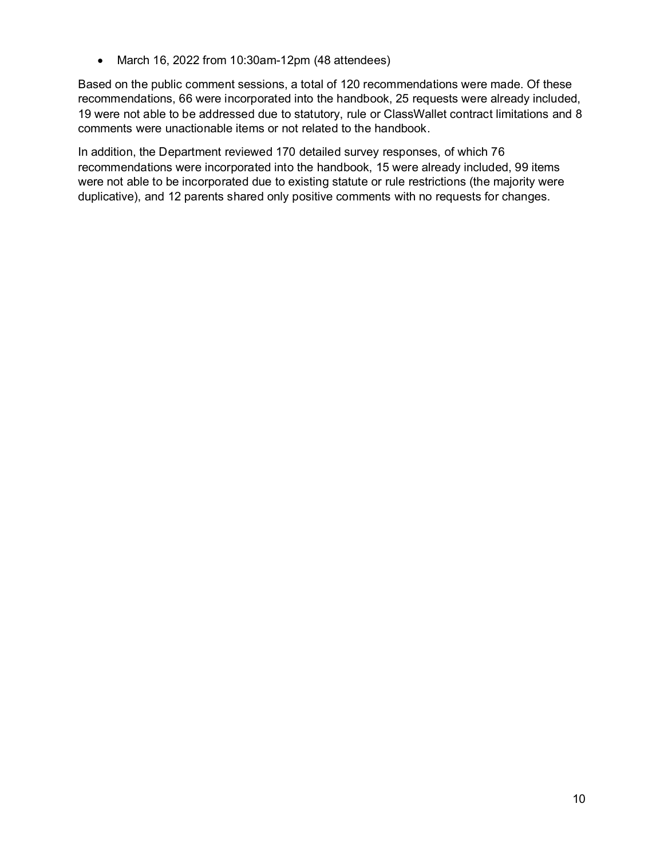• March 16, 2022 from 10:30am-12pm (48 attendees)

Based on the public comment sessions, a total of 120 recommendations were made. Of these recommendations, 66 were incorporated into the handbook, 25 requests were already included, 19 were not able to be addressed due to statutory, rule or ClassWallet contract limitations and 8 comments were unactionable items or not related to the handbook.

In addition, the Department reviewed 170 detailed survey responses, of which 76 recommendations were incorporated into the handbook, 15 were already included, 99 items were not able to be incorporated due to existing statute or rule restrictions (the majority were duplicative), and 12 parents shared only positive comments with no requests for changes.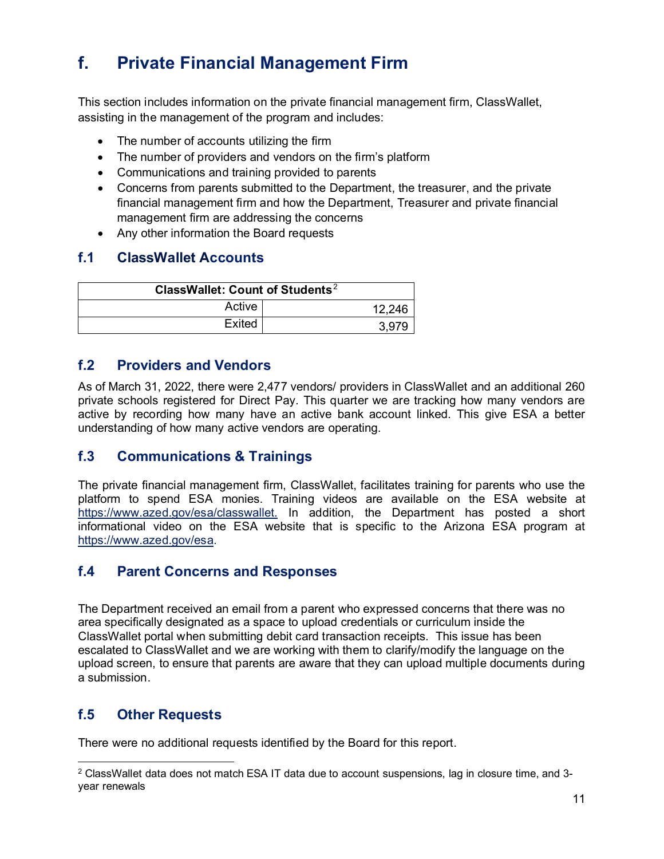# <span id="page-13-0"></span>**f. Private Financial Management Firm**

This section includes information on the private financial management firm, ClassWallet, assisting in the management of the program and includes:

- The number of accounts utilizing the firm
- The number of providers and vendors on the firm's platform
- Communications and training provided to parents
- Concerns from parents submitted to the Department, the treasurer, and the private financial management firm and how the Department, Treasurer and private financial management firm are addressing the concerns
- Any other information the Board requests

### <span id="page-13-1"></span>**f.1 ClassWallet Accounts**

| ClassWallet: Count of Students <sup>2</sup> |        |
|---------------------------------------------|--------|
| Active                                      | 12,246 |
| Exited                                      | 3.979  |

### <span id="page-13-2"></span>**f.2 Providers and Vendors**

As of March 31, 2022, there were 2,477 vendors/ providers in ClassWallet and an additional 260 private schools registered for Direct Pay. This quarter we are tracking how many vendors are active by recording how many have an active bank account linked. This give ESA a better understanding of how many active vendors are operating.

### <span id="page-13-3"></span>**f.3 Communications & Trainings**

The private financial management firm, ClassWallet, facilitates training for parents who use the platform to spend ESA monies. Training videos are available on the ESA website at [https://www.azed.gov/esa/classwallet.](https://www.azed.gov/esa/classwallet) In addition, the Department has posted a short informational video on the ESA website that is specific to the Arizona ESA program at [https://www.azed.gov/esa.](https://www.azed.gov/esa)

### <span id="page-13-4"></span>**f.4 Parent Concerns and Responses**

The Department received an email from a parent who expressed concerns that there was no area specifically designated as a space to upload credentials or curriculum inside the ClassWallet portal when submitting debit card transaction receipts. This issue has been escalated to ClassWallet and we are working with them to clarify/modify the language on the upload screen, to ensure that parents are aware that they can upload multiple documents during a submission.

### <span id="page-13-5"></span>**f.5 Other Requests**

There were no additional requests identified by the Board for this report.

<span id="page-13-6"></span><sup>2</sup> ClassWallet data does not match ESA IT data due to account suspensions, lag in closure time, and 3 year renewals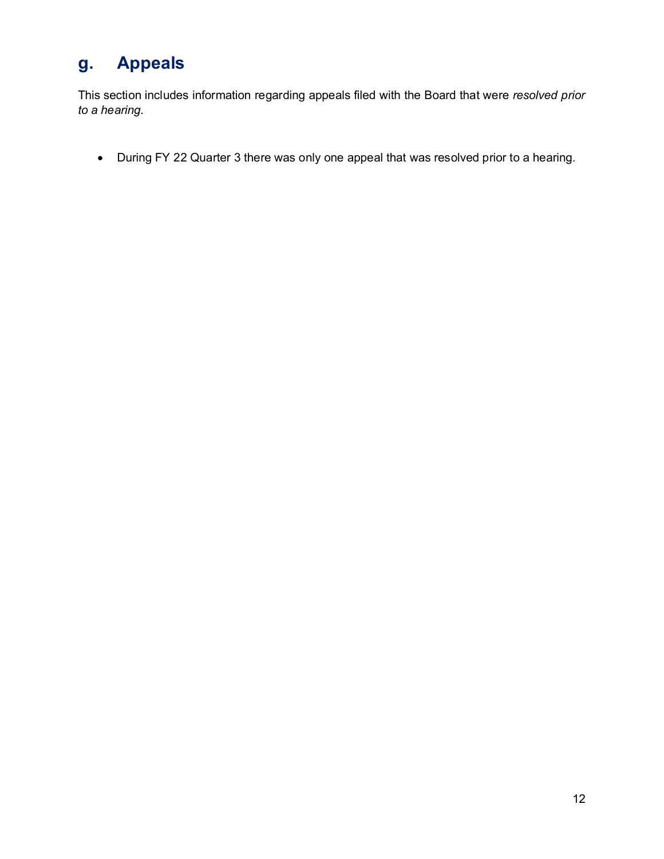# <span id="page-14-0"></span>**g. Appeals**

This section includes information regarding appeals filed with the Board that were *resolved prior to a hearing*.

• During FY 22 Quarter 3 there was only one appeal that was resolved prior to a hearing.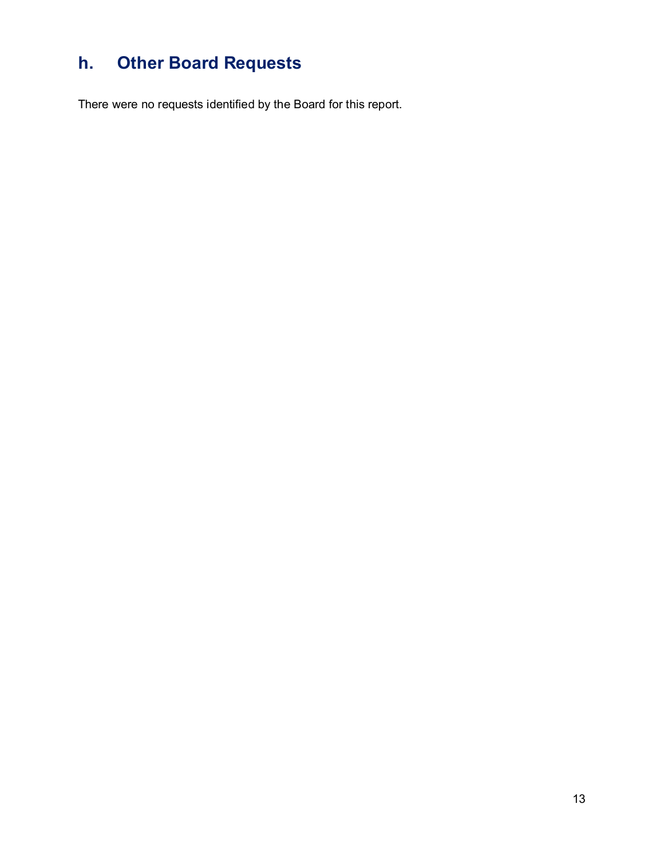# <span id="page-15-0"></span>**h. Other Board Requests**

There were no requests identified by the Board for this report.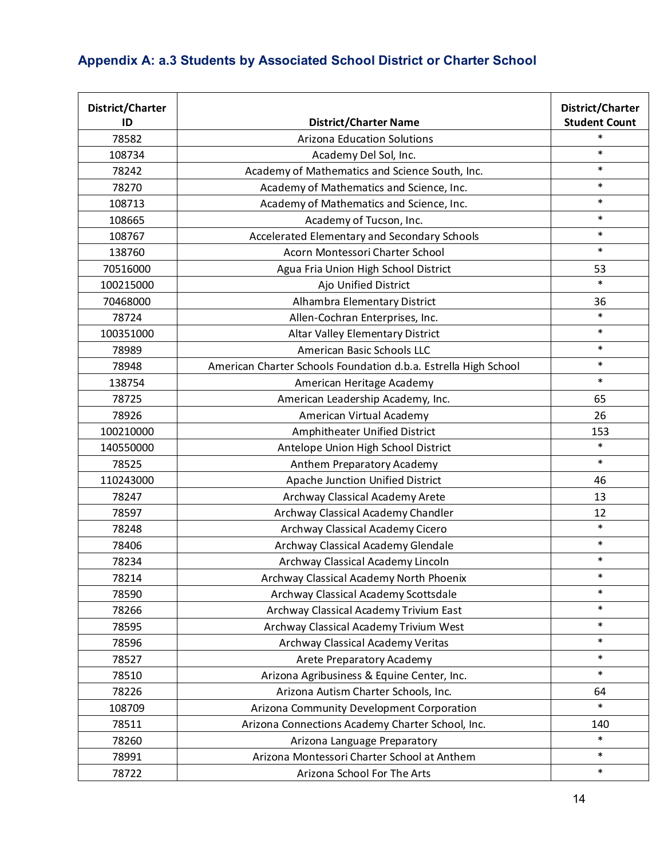# <span id="page-16-0"></span>**Appendix A: a.3 Students by Associated School District or Charter School**

| District/Charter<br>ID | <b>District/Charter Name</b>                                    | District/Charter<br><b>Student Count</b> |
|------------------------|-----------------------------------------------------------------|------------------------------------------|
| 78582                  | <b>Arizona Education Solutions</b>                              | $\ast$                                   |
| 108734                 | Academy Del Sol, Inc.                                           | $\ast$                                   |
| 78242                  | Academy of Mathematics and Science South, Inc.                  | $\ast$                                   |
| 78270                  | Academy of Mathematics and Science, Inc.                        | $\ast$                                   |
| 108713                 | Academy of Mathematics and Science, Inc.                        | $\ast$                                   |
| 108665                 | Academy of Tucson, Inc.                                         | $\ast$                                   |
| 108767                 | Accelerated Elementary and Secondary Schools                    | $\ast$                                   |
| 138760                 | Acorn Montessori Charter School                                 | $\ast$                                   |
| 70516000               | Agua Fria Union High School District                            | 53                                       |
| 100215000              | Ajo Unified District                                            | $\ast$                                   |
| 70468000               | Alhambra Elementary District                                    | 36                                       |
| 78724                  | Allen-Cochran Enterprises, Inc.                                 | $\ast$                                   |
| 100351000              | Altar Valley Elementary District                                | $\ast$                                   |
| 78989                  | American Basic Schools LLC                                      | $\ast$                                   |
| 78948                  | American Charter Schools Foundation d.b.a. Estrella High School | $\ast$                                   |
| 138754                 | American Heritage Academy                                       | $\ast$                                   |
| 78725                  | American Leadership Academy, Inc.                               | 65                                       |
| 78926                  | American Virtual Academy                                        | 26                                       |
| 100210000              | Amphitheater Unified District                                   | 153                                      |
| 140550000              | Antelope Union High School District                             | $\ast$                                   |
| 78525                  | Anthem Preparatory Academy                                      | $\ast$                                   |
| 110243000              | Apache Junction Unified District                                | 46                                       |
| 78247                  | Archway Classical Academy Arete                                 | 13                                       |
| 78597                  | Archway Classical Academy Chandler                              | 12                                       |
| 78248                  | Archway Classical Academy Cicero                                | $\ast$                                   |
| 78406                  | Archway Classical Academy Glendale                              | $\ast$                                   |
| 78234                  | Archway Classical Academy Lincoln                               | $\ast$                                   |
| 78214                  | Archway Classical Academy North Phoenix                         | $\ast$                                   |
| 78590                  | Archway Classical Academy Scottsdale                            | $\ast$                                   |
| 78266                  | Archway Classical Academy Trivium East                          | $\ast$                                   |
| 78595                  | Archway Classical Academy Trivium West                          | $\ast$                                   |
| 78596                  | Archway Classical Academy Veritas                               | $\ast$                                   |
| 78527                  | Arete Preparatory Academy                                       | $\ast$                                   |
| 78510                  | Arizona Agribusiness & Equine Center, Inc.                      | $\ast$                                   |
| 78226                  | Arizona Autism Charter Schools, Inc.                            | 64                                       |
| 108709                 | Arizona Community Development Corporation                       | $\ast$                                   |
| 78511                  | Arizona Connections Academy Charter School, Inc.                | 140                                      |
| 78260                  | Arizona Language Preparatory                                    | $\ast$                                   |
| 78991                  | Arizona Montessori Charter School at Anthem                     | $\ast$                                   |
| 78722                  | Arizona School For The Arts                                     | $\ast$                                   |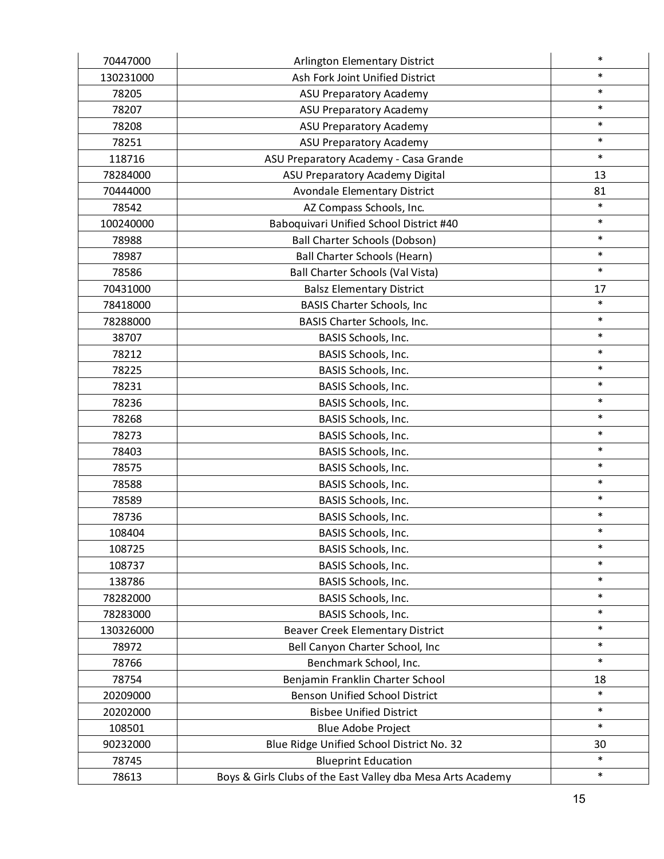| 70447000  | Arlington Elementary District                               | $\ast$ |
|-----------|-------------------------------------------------------------|--------|
| 130231000 | Ash Fork Joint Unified District                             | $\ast$ |
| 78205     | <b>ASU Preparatory Academy</b>                              | $\ast$ |
| 78207     | ASU Preparatory Academy                                     | $\ast$ |
| 78208     | <b>ASU Preparatory Academy</b>                              | $\ast$ |
| 78251     | ASU Preparatory Academy                                     | $\ast$ |
| 118716    | ASU Preparatory Academy - Casa Grande                       | $\ast$ |
| 78284000  | ASU Preparatory Academy Digital                             | 13     |
| 70444000  | <b>Avondale Elementary District</b>                         | 81     |
| 78542     | AZ Compass Schools, Inc.                                    | $\ast$ |
| 100240000 | Baboquivari Unified School District #40                     | $\ast$ |
| 78988     | Ball Charter Schools (Dobson)                               | $\ast$ |
| 78987     | <b>Ball Charter Schools (Hearn)</b>                         | $\ast$ |
| 78586     | Ball Charter Schools (Val Vista)                            | $\ast$ |
| 70431000  | <b>Balsz Elementary District</b>                            | 17     |
| 78418000  | <b>BASIS Charter Schools, Inc</b>                           | $\ast$ |
| 78288000  | BASIS Charter Schools, Inc.                                 | $\ast$ |
| 38707     | BASIS Schools, Inc.                                         | $\ast$ |
| 78212     | BASIS Schools, Inc.                                         | $\ast$ |
| 78225     | BASIS Schools, Inc.                                         | $\ast$ |
| 78231     | BASIS Schools, Inc.                                         | $\ast$ |
| 78236     | BASIS Schools, Inc.                                         | $\ast$ |
| 78268     | BASIS Schools, Inc.                                         | $\ast$ |
| 78273     | BASIS Schools, Inc.                                         | $\ast$ |
| 78403     | BASIS Schools, Inc.                                         | $\ast$ |
| 78575     | BASIS Schools, Inc.                                         | $\ast$ |
| 78588     | BASIS Schools, Inc.                                         | $\ast$ |
| 78589     | BASIS Schools, Inc.                                         | $\ast$ |
| 78736     | BASIS Schools, Inc.                                         | $\ast$ |
| 108404    | BASIS Schools, Inc.                                         | $\ast$ |
| 108725    | BASIS Schools, Inc.                                         | $\ast$ |
| 108737    | BASIS Schools, Inc.                                         | $\ast$ |
| 138786    | BASIS Schools, Inc.                                         | $\ast$ |
| 78282000  | BASIS Schools, Inc.                                         | $\ast$ |
| 78283000  | BASIS Schools, Inc.                                         | $\ast$ |
| 130326000 | Beaver Creek Elementary District                            | $\ast$ |
| 78972     | Bell Canyon Charter School, Inc                             | $\ast$ |
| 78766     | Benchmark School, Inc.                                      | $\ast$ |
| 78754     | Benjamin Franklin Charter School                            | 18     |
| 20209000  | <b>Benson Unified School District</b>                       | $\ast$ |
| 20202000  | <b>Bisbee Unified District</b>                              | $\ast$ |
| 108501    | Blue Adobe Project                                          | $\ast$ |
| 90232000  | Blue Ridge Unified School District No. 32                   | 30     |
| 78745     | <b>Blueprint Education</b>                                  | $\ast$ |
| 78613     | Boys & Girls Clubs of the East Valley dba Mesa Arts Academy | $\ast$ |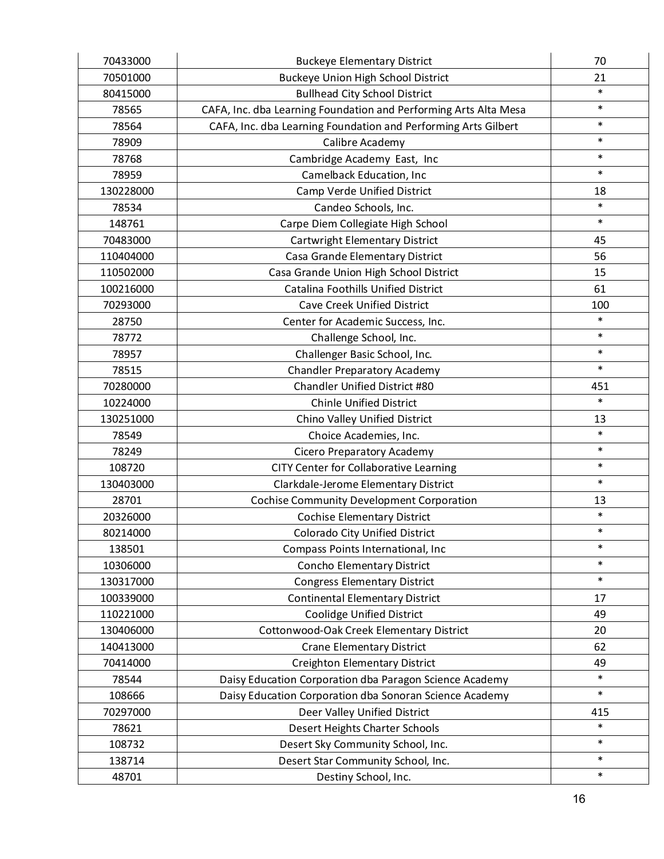| 70433000  | <b>Buckeye Elementary District</b>                               | 70     |
|-----------|------------------------------------------------------------------|--------|
| 70501000  | <b>Buckeye Union High School District</b>                        | 21     |
| 80415000  | <b>Bullhead City School District</b>                             | $\ast$ |
| 78565     | CAFA, Inc. dba Learning Foundation and Performing Arts Alta Mesa | $\ast$ |
| 78564     | CAFA, Inc. dba Learning Foundation and Performing Arts Gilbert   | $\ast$ |
| 78909     | Calibre Academy                                                  | $\ast$ |
| 78768     | Cambridge Academy East, Inc                                      | $\ast$ |
| 78959     | Camelback Education, Inc                                         | $\ast$ |
| 130228000 | Camp Verde Unified District                                      | 18     |
| 78534     | Candeo Schools, Inc.                                             | $\ast$ |
| 148761    | Carpe Diem Collegiate High School                                | $\ast$ |
| 70483000  | Cartwright Elementary District                                   | 45     |
| 110404000 | Casa Grande Elementary District                                  | 56     |
| 110502000 | Casa Grande Union High School District                           | 15     |
| 100216000 | Catalina Foothills Unified District                              | 61     |
| 70293000  | <b>Cave Creek Unified District</b>                               | 100    |
| 28750     | Center for Academic Success, Inc.                                | $\ast$ |
| 78772     | Challenge School, Inc.                                           | $\ast$ |
| 78957     | Challenger Basic School, Inc.                                    | $\ast$ |
| 78515     | <b>Chandler Preparatory Academy</b>                              | $\ast$ |
| 70280000  | Chandler Unified District #80                                    | 451    |
| 10224000  | <b>Chinle Unified District</b>                                   | $\ast$ |
| 130251000 | Chino Valley Unified District                                    | 13     |
| 78549     | Choice Academies, Inc.                                           | $\ast$ |
| 78249     | Cicero Preparatory Academy                                       | $\ast$ |
| 108720    | CITY Center for Collaborative Learning                           | $\ast$ |
| 130403000 | Clarkdale-Jerome Elementary District                             | $\ast$ |
| 28701     | <b>Cochise Community Development Corporation</b>                 | 13     |
| 20326000  | <b>Cochise Elementary District</b>                               | $\ast$ |
| 80214000  | Colorado City Unified District                                   | $\ast$ |
| 138501    | Compass Points International, Inc                                | $\ast$ |
| 10306000  | Concho Elementary District                                       | $\ast$ |
| 130317000 | <b>Congress Elementary District</b>                              | $\ast$ |
| 100339000 | <b>Continental Elementary District</b>                           | 17     |
| 110221000 | <b>Coolidge Unified District</b>                                 | 49     |
| 130406000 | Cottonwood-Oak Creek Elementary District                         | 20     |
| 140413000 | <b>Crane Elementary District</b>                                 | 62     |
| 70414000  | <b>Creighton Elementary District</b>                             | 49     |
| 78544     | Daisy Education Corporation dba Paragon Science Academy          | $\ast$ |
| 108666    | Daisy Education Corporation dba Sonoran Science Academy          | $\ast$ |
| 70297000  | Deer Valley Unified District                                     | 415    |
| 78621     | Desert Heights Charter Schools                                   | $\ast$ |
| 108732    | Desert Sky Community School, Inc.                                | $\ast$ |
| 138714    | Desert Star Community School, Inc.                               | $\ast$ |
| 48701     | Destiny School, Inc.                                             | $\ast$ |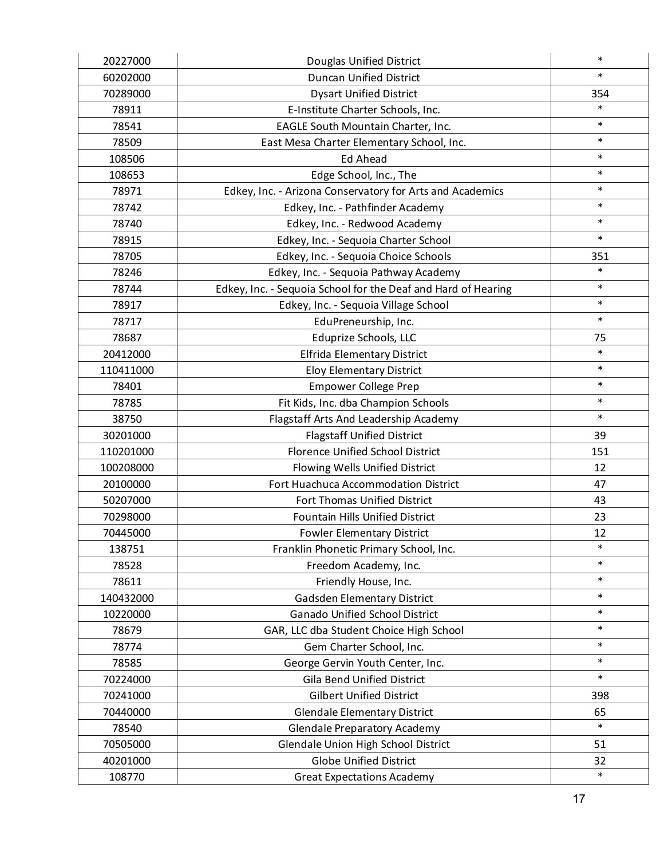| 20227000  | Douglas Unified District                                      | $\ast$ |
|-----------|---------------------------------------------------------------|--------|
| 60202000  | <b>Duncan Unified District</b>                                | $\ast$ |
| 70289000  | <b>Dysart Unified District</b>                                | 354    |
| 78911     | E-Institute Charter Schools, Inc.                             | $\ast$ |
| 78541     | EAGLE South Mountain Charter, Inc.                            | $\ast$ |
| 78509     | East Mesa Charter Elementary School, Inc.                     | $\ast$ |
| 108506    | <b>Ed Ahead</b>                                               | $\ast$ |
| 108653    | Edge School, Inc., The                                        | $\ast$ |
| 78971     | Edkey, Inc. - Arizona Conservatory for Arts and Academics     | $\ast$ |
| 78742     | Edkey, Inc. - Pathfinder Academy                              | $\ast$ |
| 78740     | Edkey, Inc. - Redwood Academy                                 | $\ast$ |
| 78915     | Edkey, Inc. - Sequoia Charter School                          | $\ast$ |
| 78705     | Edkey, Inc. - Sequoia Choice Schools                          | 351    |
| 78246     | Edkey, Inc. - Sequoia Pathway Academy                         | $\ast$ |
| 78744     | Edkey, Inc. - Sequoia School for the Deaf and Hard of Hearing | $\ast$ |
| 78917     | Edkey, Inc. - Sequoia Village School                          | $\ast$ |
| 78717     | EduPreneurship, Inc.                                          | $\ast$ |
| 78687     | Eduprize Schools, LLC                                         | 75     |
| 20412000  | <b>Elfrida Elementary District</b>                            | $\ast$ |
| 110411000 | <b>Eloy Elementary District</b>                               | $\ast$ |
| 78401     | <b>Empower College Prep</b>                                   | $\ast$ |
| 78785     | Fit Kids, Inc. dba Champion Schools                           | $\ast$ |
| 38750     | Flagstaff Arts And Leadership Academy                         | $\ast$ |
| 30201000  | <b>Flagstaff Unified District</b>                             | 39     |
| 110201000 | Florence Unified School District                              | 151    |
| 100208000 | Flowing Wells Unified District                                | 12     |
| 20100000  | Fort Huachuca Accommodation District                          | 47     |
| 50207000  | Fort Thomas Unified District                                  | 43     |
| 70298000  | <b>Fountain Hills Unified District</b>                        | 23     |
| 70445000  | <b>Fowler Elementary District</b>                             | 12     |
| 138751    | Franklin Phonetic Primary School, Inc.                        | $\ast$ |
| 78528     | Freedom Academy, Inc.                                         | $\ast$ |
| 78611     | Friendly House, Inc.                                          | $\ast$ |
| 140432000 | <b>Gadsden Elementary District</b>                            | $\ast$ |
| 10220000  | <b>Ganado Unified School District</b>                         | $\ast$ |
| 78679     | GAR, LLC dba Student Choice High School                       | $\ast$ |
| 78774     | Gem Charter School, Inc.                                      | $\ast$ |
| 78585     | George Gervin Youth Center, Inc.                              | $\ast$ |
| 70224000  | <b>Gila Bend Unified District</b>                             | $\ast$ |
| 70241000  | <b>Gilbert Unified District</b>                               | 398    |
| 70440000  | <b>Glendale Elementary District</b>                           | 65     |
| 78540     | <b>Glendale Preparatory Academy</b>                           | $\ast$ |
| 70505000  | Glendale Union High School District                           | 51     |
| 40201000  | <b>Globe Unified District</b>                                 | 32     |
| 108770    | <b>Great Expectations Academy</b>                             | $\ast$ |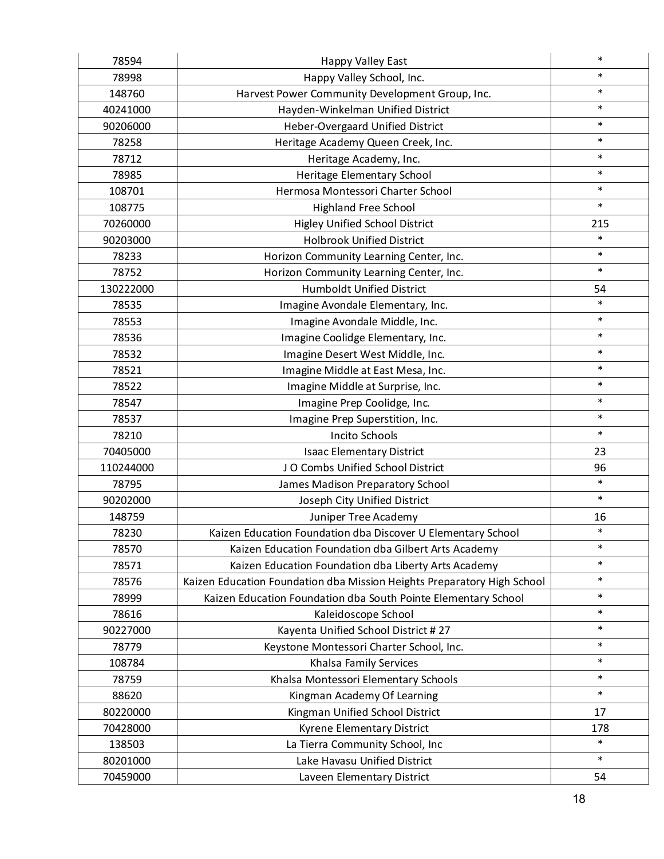| 78594     | Happy Valley East                                                       | $\ast$ |
|-----------|-------------------------------------------------------------------------|--------|
| 78998     | Happy Valley School, Inc.                                               | $\ast$ |
| 148760    | Harvest Power Community Development Group, Inc.                         | $\ast$ |
| 40241000  | Hayden-Winkelman Unified District                                       | $\ast$ |
| 90206000  | Heber-Overgaard Unified District                                        | $\ast$ |
| 78258     | Heritage Academy Queen Creek, Inc.                                      | $\ast$ |
| 78712     | Heritage Academy, Inc.                                                  | $\ast$ |
| 78985     | Heritage Elementary School                                              | $\ast$ |
| 108701    | Hermosa Montessori Charter School                                       | $\ast$ |
| 108775    | <b>Highland Free School</b>                                             | $\ast$ |
| 70260000  | <b>Higley Unified School District</b>                                   | 215    |
| 90203000  | <b>Holbrook Unified District</b>                                        | $\ast$ |
| 78233     | Horizon Community Learning Center, Inc.                                 | $\ast$ |
| 78752     | Horizon Community Learning Center, Inc.                                 | $\ast$ |
| 130222000 | <b>Humboldt Unified District</b>                                        | 54     |
| 78535     | Imagine Avondale Elementary, Inc.                                       | $\ast$ |
| 78553     | Imagine Avondale Middle, Inc.                                           | $\ast$ |
| 78536     | Imagine Coolidge Elementary, Inc.                                       | $\ast$ |
| 78532     | Imagine Desert West Middle, Inc.                                        | $\ast$ |
| 78521     | Imagine Middle at East Mesa, Inc.                                       | $\ast$ |
| 78522     | Imagine Middle at Surprise, Inc.                                        | $\ast$ |
| 78547     | Imagine Prep Coolidge, Inc.                                             | $\ast$ |
| 78537     | Imagine Prep Superstition, Inc.                                         | $\ast$ |
| 78210     | <b>Incito Schools</b>                                                   | $\ast$ |
| 70405000  | <b>Isaac Elementary District</b>                                        | 23     |
| 110244000 | JO Combs Unified School District                                        | 96     |
| 78795     | James Madison Preparatory School                                        | $\ast$ |
| 90202000  | Joseph City Unified District                                            | $\ast$ |
| 148759    | Juniper Tree Academy                                                    | 16     |
| 78230     | Kaizen Education Foundation dba Discover U Elementary School            | $\ast$ |
| 78570     | Kaizen Education Foundation dba Gilbert Arts Academy                    | $\ast$ |
| 78571     | Kaizen Education Foundation dba Liberty Arts Academy                    | $\ast$ |
| 78576     | Kaizen Education Foundation dba Mission Heights Preparatory High School | $\ast$ |
| 78999     | Kaizen Education Foundation dba South Pointe Elementary School          | $\ast$ |
| 78616     | Kaleidoscope School                                                     | $\ast$ |
| 90227000  | Kayenta Unified School District #27                                     | $\ast$ |
| 78779     | Keystone Montessori Charter School, Inc.                                | $\ast$ |
| 108784    | Khalsa Family Services                                                  | $\ast$ |
| 78759     | Khalsa Montessori Elementary Schools                                    | $\ast$ |
| 88620     | Kingman Academy Of Learning                                             | $\ast$ |
| 80220000  | Kingman Unified School District                                         | 17     |
| 70428000  | Kyrene Elementary District                                              | 178    |
| 138503    | La Tierra Community School, Inc                                         | $\ast$ |
| 80201000  | Lake Havasu Unified District                                            | $\ast$ |
| 70459000  | Laveen Elementary District                                              | 54     |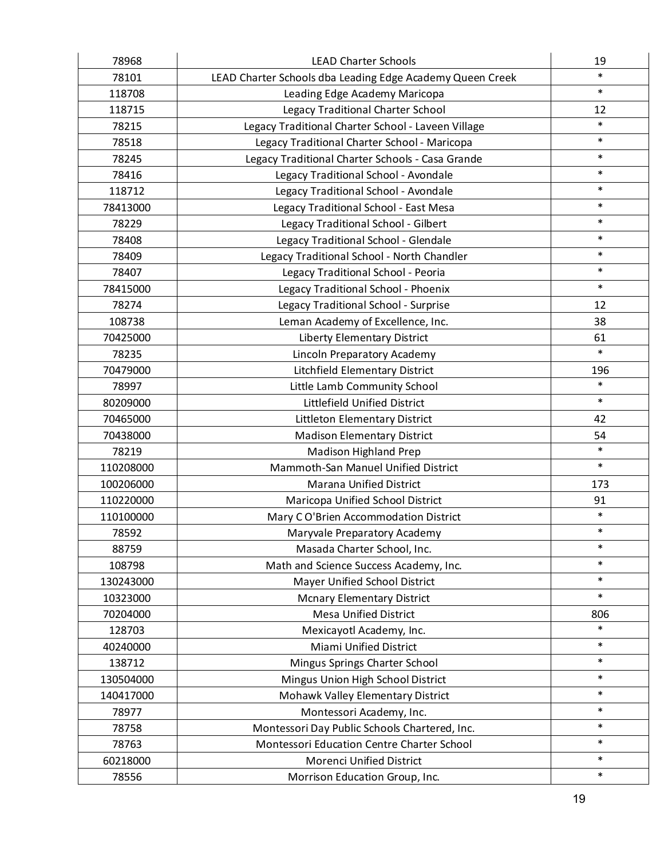| 78968     | <b>LEAD Charter Schools</b>                               | 19     |
|-----------|-----------------------------------------------------------|--------|
| 78101     | LEAD Charter Schools dba Leading Edge Academy Queen Creek | $\ast$ |
| 118708    | Leading Edge Academy Maricopa                             | $\ast$ |
| 118715    | Legacy Traditional Charter School                         | 12     |
| 78215     | Legacy Traditional Charter School - Laveen Village        | $\ast$ |
| 78518     | Legacy Traditional Charter School - Maricopa              | $\ast$ |
| 78245     | Legacy Traditional Charter Schools - Casa Grande          | $\ast$ |
| 78416     | Legacy Traditional School - Avondale                      | $\ast$ |
| 118712    | Legacy Traditional School - Avondale                      | $\ast$ |
| 78413000  | Legacy Traditional School - East Mesa                     | $\ast$ |
| 78229     | Legacy Traditional School - Gilbert                       | $\ast$ |
| 78408     | Legacy Traditional School - Glendale                      | $\ast$ |
| 78409     | Legacy Traditional School - North Chandler                | $\ast$ |
| 78407     | Legacy Traditional School - Peoria                        | $\ast$ |
| 78415000  | Legacy Traditional School - Phoenix                       | $\ast$ |
| 78274     | Legacy Traditional School - Surprise                      | 12     |
| 108738    | Leman Academy of Excellence, Inc.                         | 38     |
| 70425000  | <b>Liberty Elementary District</b>                        | 61     |
| 78235     | Lincoln Preparatory Academy                               | $\ast$ |
| 70479000  | Litchfield Elementary District                            | 196    |
| 78997     | Little Lamb Community School                              | $\ast$ |
| 80209000  | Littlefield Unified District                              | $\ast$ |
| 70465000  | Littleton Elementary District                             | 42     |
| 70438000  | <b>Madison Elementary District</b>                        | 54     |
| 78219     | <b>Madison Highland Prep</b>                              | $\ast$ |
| 110208000 | Mammoth-San Manuel Unified District                       | $\ast$ |
| 100206000 | <b>Marana Unified District</b>                            | 173    |
| 110220000 | Maricopa Unified School District                          | 91     |
| 110100000 | Mary CO'Brien Accommodation District                      | $\ast$ |
| 78592     | Maryvale Preparatory Academy                              | $\ast$ |
| 88759     | Masada Charter School, Inc.                               | $\ast$ |
| 108798    | Math and Science Success Academy, Inc.                    | $\ast$ |
| 130243000 | Mayer Unified School District                             | $\ast$ |
| 10323000  | <b>Mcnary Elementary District</b>                         | $\ast$ |
| 70204000  | <b>Mesa Unified District</b>                              | 806    |
| 128703    | Mexicayotl Academy, Inc.                                  | $\ast$ |
| 40240000  | Miami Unified District                                    | $\ast$ |
| 138712    | Mingus Springs Charter School                             | $\ast$ |
| 130504000 | Mingus Union High School District                         | $\ast$ |
| 140417000 | Mohawk Valley Elementary District                         | $\ast$ |
| 78977     | Montessori Academy, Inc.                                  | $\ast$ |
| 78758     | Montessori Day Public Schools Chartered, Inc.             | $\ast$ |
| 78763     | Montessori Education Centre Charter School                | $\ast$ |
| 60218000  | Morenci Unified District                                  | $\ast$ |
| 78556     | Morrison Education Group, Inc.                            | $\ast$ |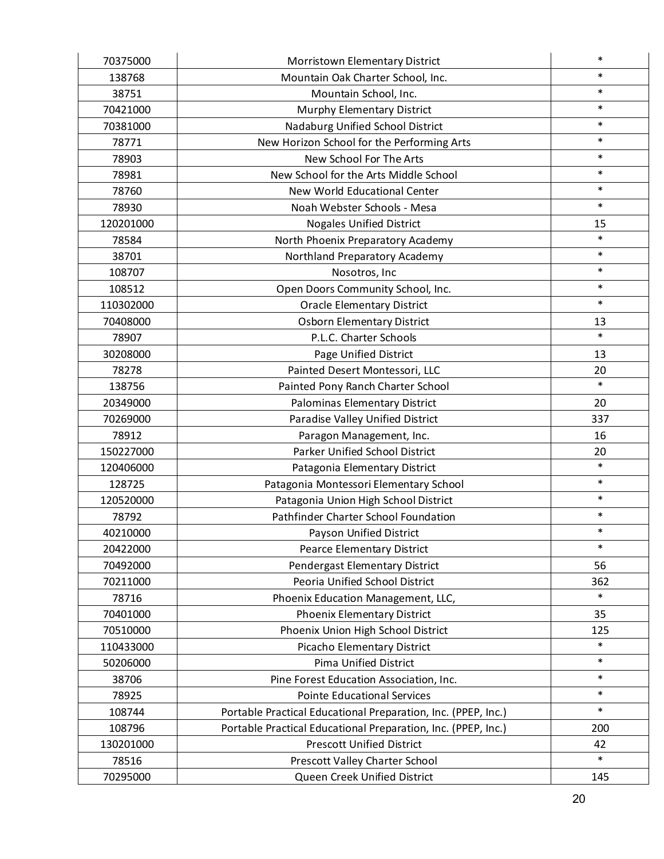| 70375000  | Morristown Elementary District                                | $\ast$ |
|-----------|---------------------------------------------------------------|--------|
| 138768    | Mountain Oak Charter School, Inc.                             | $\ast$ |
| 38751     | Mountain School, Inc.                                         | $\ast$ |
| 70421000  | Murphy Elementary District                                    | $\ast$ |
| 70381000  | Nadaburg Unified School District                              | $\ast$ |
| 78771     | New Horizon School for the Performing Arts                    | $\ast$ |
| 78903     | New School For The Arts                                       | $\ast$ |
| 78981     | New School for the Arts Middle School                         | $\ast$ |
| 78760     | New World Educational Center                                  | $\ast$ |
| 78930     | Noah Webster Schools - Mesa                                   | $\ast$ |
| 120201000 | <b>Nogales Unified District</b>                               | 15     |
| 78584     | North Phoenix Preparatory Academy                             | $\ast$ |
| 38701     | Northland Preparatory Academy                                 | $\ast$ |
| 108707    | Nosotros, Inc                                                 | $\ast$ |
| 108512    | Open Doors Community School, Inc.                             | $\ast$ |
| 110302000 | <b>Oracle Elementary District</b>                             | $\ast$ |
| 70408000  | <b>Osborn Elementary District</b>                             | 13     |
| 78907     | P.L.C. Charter Schools                                        | $\ast$ |
| 30208000  | Page Unified District                                         | 13     |
| 78278     | Painted Desert Montessori, LLC                                | 20     |
| 138756    | Painted Pony Ranch Charter School                             | $\ast$ |
| 20349000  | Palominas Elementary District                                 | 20     |
| 70269000  | Paradise Valley Unified District                              | 337    |
| 78912     | Paragon Management, Inc.                                      | 16     |
| 150227000 | Parker Unified School District                                | 20     |
| 120406000 | Patagonia Elementary District                                 | $\ast$ |
| 128725    | Patagonia Montessori Elementary School                        | $\ast$ |
| 120520000 | Patagonia Union High School District                          | $\ast$ |
| 78792     | Pathfinder Charter School Foundation                          | $\ast$ |
| 40210000  | Payson Unified District                                       | $\ast$ |
| 20422000  | Pearce Elementary District                                    | $\ast$ |
| 70492000  | Pendergast Elementary District                                | 56     |
| 70211000  | Peoria Unified School District                                | 362    |
| 78716     | Phoenix Education Management, LLC,                            | $\ast$ |
| 70401000  | <b>Phoenix Elementary District</b>                            | 35     |
| 70510000  | Phoenix Union High School District                            | 125    |
| 110433000 | Picacho Elementary District                                   | $\ast$ |
| 50206000  | <b>Pima Unified District</b>                                  | $\ast$ |
| 38706     | Pine Forest Education Association, Inc.                       | $\ast$ |
| 78925     | <b>Pointe Educational Services</b>                            | $\ast$ |
| 108744    | Portable Practical Educational Preparation, Inc. (PPEP, Inc.) | $\ast$ |
| 108796    | Portable Practical Educational Preparation, Inc. (PPEP, Inc.) | 200    |
| 130201000 | <b>Prescott Unified District</b>                              | 42     |
| 78516     | Prescott Valley Charter School                                | $\ast$ |
| 70295000  | Queen Creek Unified District                                  | 145    |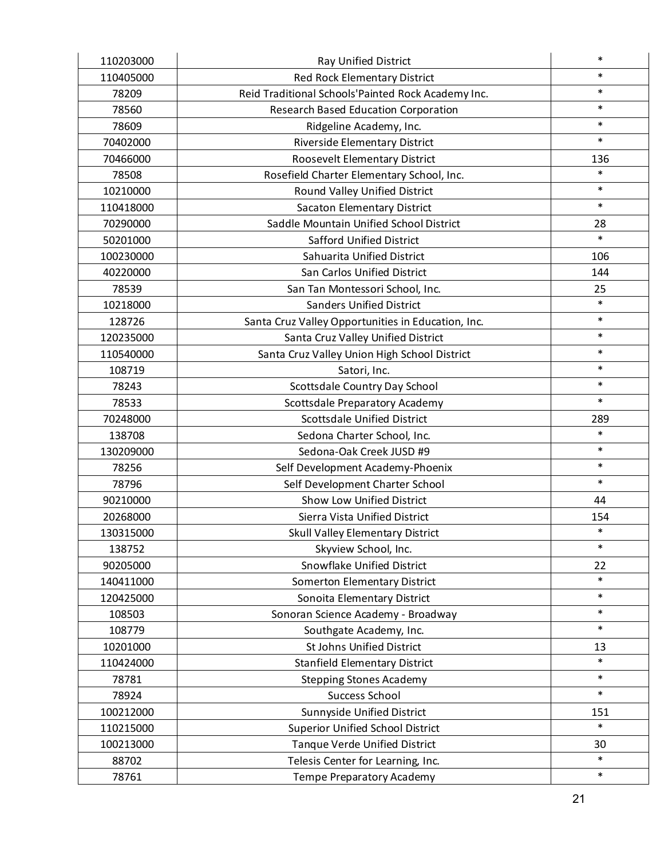| 110203000 | Ray Unified District                               | $\ast$ |
|-----------|----------------------------------------------------|--------|
| 110405000 | <b>Red Rock Elementary District</b>                | $\ast$ |
| 78209     | Reid Traditional Schools'Painted Rock Academy Inc. | $\ast$ |
| 78560     | <b>Research Based Education Corporation</b>        | $\ast$ |
| 78609     | Ridgeline Academy, Inc.                            | $\ast$ |
| 70402000  | <b>Riverside Elementary District</b>               | $\ast$ |
| 70466000  | Roosevelt Elementary District                      | 136    |
| 78508     | Rosefield Charter Elementary School, Inc.          | $\ast$ |
| 10210000  | Round Valley Unified District                      | $\ast$ |
| 110418000 | <b>Sacaton Elementary District</b>                 | $\ast$ |
| 70290000  | Saddle Mountain Unified School District            | 28     |
| 50201000  | <b>Safford Unified District</b>                    | $\ast$ |
| 100230000 | Sahuarita Unified District                         | 106    |
| 40220000  | San Carlos Unified District                        | 144    |
| 78539     | San Tan Montessori School, Inc.                    | 25     |
| 10218000  | <b>Sanders Unified District</b>                    | $\ast$ |
| 128726    | Santa Cruz Valley Opportunities in Education, Inc. | $\ast$ |
| 120235000 | Santa Cruz Valley Unified District                 | $\ast$ |
| 110540000 | Santa Cruz Valley Union High School District       | $\ast$ |
| 108719    | Satori, Inc.                                       | $\ast$ |
| 78243     | Scottsdale Country Day School                      | $\ast$ |
| 78533     | Scottsdale Preparatory Academy                     | $\ast$ |
| 70248000  | <b>Scottsdale Unified District</b>                 | 289    |
| 138708    | Sedona Charter School, Inc.                        | $\ast$ |
| 130209000 | Sedona-Oak Creek JUSD #9                           | $\ast$ |
| 78256     | Self Development Academy-Phoenix                   | $\ast$ |
| 78796     | Self Development Charter School                    | $\ast$ |
| 90210000  | <b>Show Low Unified District</b>                   | 44     |
| 20268000  | Sierra Vista Unified District                      | 154    |
| 130315000 | Skull Valley Elementary District                   | $\ast$ |
| 138752    | Skyview School, Inc.                               | $\ast$ |
| 90205000  | <b>Snowflake Unified District</b>                  | 22     |
| 140411000 | Somerton Elementary District                       | $\ast$ |
| 120425000 | Sonoita Elementary District                        | $\ast$ |
| 108503    | Sonoran Science Academy - Broadway                 | $\ast$ |
| 108779    | Southgate Academy, Inc.                            | $\ast$ |
| 10201000  | St Johns Unified District                          | 13     |
| 110424000 | <b>Stanfield Elementary District</b>               | $\ast$ |
| 78781     | <b>Stepping Stones Academy</b>                     | $\ast$ |
| 78924     | Success School                                     | $\ast$ |
| 100212000 | Sunnyside Unified District                         | 151    |
| 110215000 | <b>Superior Unified School District</b>            | $\ast$ |
| 100213000 | Tanque Verde Unified District                      | 30     |
| 88702     | Telesis Center for Learning, Inc.                  | $\ast$ |
| 78761     | Tempe Preparatory Academy                          | $\ast$ |